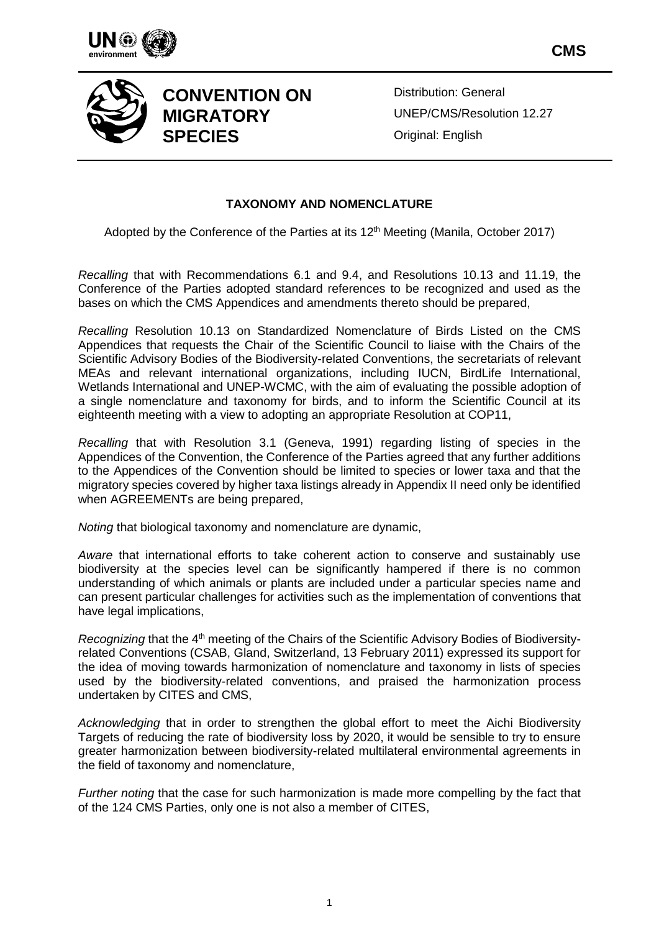



Distribution: General UNEP/CMS/Resolution 12.27 Original: English

**CMS**

# **TAXONOMY AND NOMENCLATURE**

Adopted by the Conference of the Parties at its 12<sup>th</sup> Meeting (Manila, October 2017)

*Recalling* that with Recommendations 6.1 and 9.4, and Resolutions 10.13 and 11.19, the Conference of the Parties adopted standard references to be recognized and used as the bases on which the CMS Appendices and amendments thereto should be prepared,

*Recalling* Resolution 10.13 on Standardized Nomenclature of Birds Listed on the CMS Appendices that requests the Chair of the Scientific Council to liaise with the Chairs of the Scientific Advisory Bodies of the Biodiversity-related Conventions, the secretariats of relevant MEAs and relevant international organizations, including IUCN, BirdLife International, Wetlands International and UNEP-WCMC, with the aim of evaluating the possible adoption of a single nomenclature and taxonomy for birds, and to inform the Scientific Council at its eighteenth meeting with a view to adopting an appropriate Resolution at COP11,

*Recalling* that with Resolution 3.1 (Geneva, 1991) regarding listing of species in the Appendices of the Convention, the Conference of the Parties agreed that any further additions to the Appendices of the Convention should be limited to species or lower taxa and that the migratory species covered by higher taxa listings already in Appendix II need only be identified when AGREEMENTs are being prepared,

*Noting* that biological taxonomy and nomenclature are dynamic,

*Aware* that international efforts to take coherent action to conserve and sustainably use biodiversity at the species level can be significantly hampered if there is no common understanding of which animals or plants are included under a particular species name and can present particular challenges for activities such as the implementation of conventions that have legal implications,

*Recognizing* that the 4th meeting of the Chairs of the Scientific Advisory Bodies of Biodiversityrelated Conventions (CSAB, Gland, Switzerland, 13 February 2011) expressed its support for the idea of moving towards harmonization of nomenclature and taxonomy in lists of species used by the biodiversity-related conventions, and praised the harmonization process undertaken by CITES and CMS,

*Acknowledging* that in order to strengthen the global effort to meet the Aichi Biodiversity Targets of reducing the rate of biodiversity loss by 2020, it would be sensible to try to ensure greater harmonization between biodiversity-related multilateral environmental agreements in the field of taxonomy and nomenclature,

*Further noting* that the case for such harmonization is made more compelling by the fact that of the 124 CMS Parties, only one is not also a member of CITES,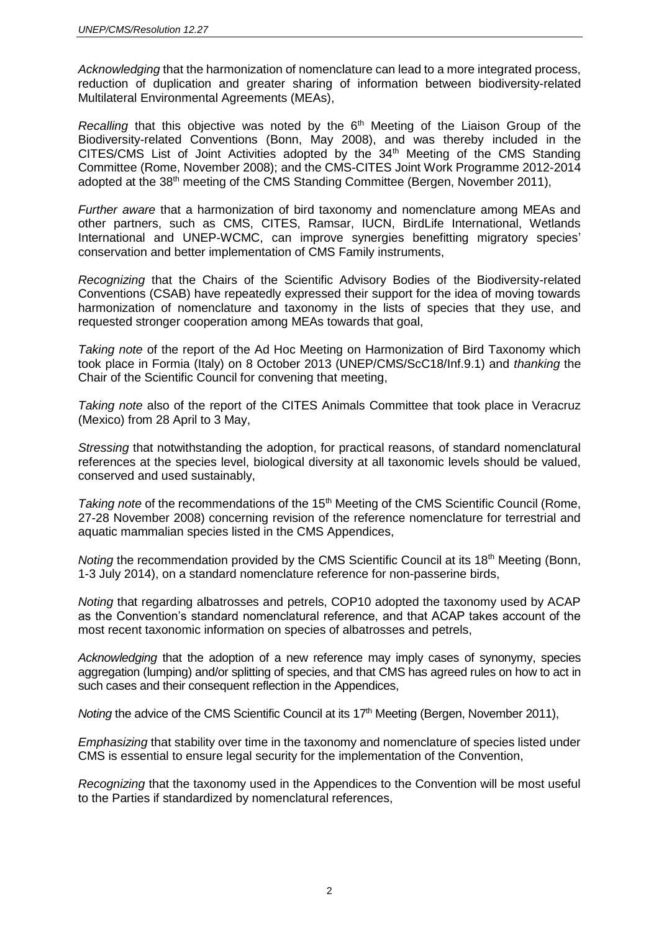*Acknowledging* that the harmonization of nomenclature can lead to a more integrated process, reduction of duplication and greater sharing of information between biodiversity-related Multilateral Environmental Agreements (MEAs),

*Recalling* that this objective was noted by the 6<sup>th</sup> Meeting of the Liaison Group of the Biodiversity-related Conventions (Bonn, May 2008), and was thereby included in the CITES/CMS List of Joint Activities adopted by the 34<sup>th</sup> Meeting of the CMS Standing Committee (Rome, November 2008); and the CMS-CITES Joint Work Programme 2012-2014 adopted at the 38th meeting of the CMS Standing Committee (Bergen, November 2011),

*Further aware* that a harmonization of bird taxonomy and nomenclature among MEAs and other partners, such as CMS, CITES, Ramsar, IUCN, BirdLife International, Wetlands International and UNEP-WCMC, can improve synergies benefitting migratory species' conservation and better implementation of CMS Family instruments,

*Recognizing* that the Chairs of the Scientific Advisory Bodies of the Biodiversity-related Conventions (CSAB) have repeatedly expressed their support for the idea of moving towards harmonization of nomenclature and taxonomy in the lists of species that they use, and requested stronger cooperation among MEAs towards that goal,

*Taking note* of the report of the Ad Hoc Meeting on Harmonization of Bird Taxonomy which took place in Formia (Italy) on 8 October 2013 (UNEP/CMS/ScC18/Inf.9.1) and *thanking* the Chair of the Scientific Council for convening that meeting,

*Taking note* also of the report of the CITES Animals Committee that took place in Veracruz (Mexico) from 28 April to 3 May,

*Stressing* that notwithstanding the adoption, for practical reasons, of standard nomenclatural references at the species level, biological diversity at all taxonomic levels should be valued, conserved and used sustainably,

*Taking note* of the recommendations of the 15th Meeting of the CMS Scientific Council (Rome, 27-28 November 2008) concerning revision of the reference nomenclature for terrestrial and aquatic mammalian species listed in the CMS Appendices,

*Noting* the recommendation provided by the CMS Scientific Council at its 18<sup>th</sup> Meeting (Bonn, 1-3 July 2014), on a standard nomenclature reference for non-passerine birds,

*Noting* that regarding albatrosses and petrels, COP10 adopted the taxonomy used by ACAP as the Convention's standard nomenclatural reference, and that ACAP takes account of the most recent taxonomic information on species of albatrosses and petrels,

*Acknowledging* that the adoption of a new reference may imply cases of synonymy, species aggregation (lumping) and/or splitting of species, and that CMS has agreed rules on how to act in such cases and their consequent reflection in the Appendices,

*Noting* the advice of the CMS Scientific Council at its 17<sup>th</sup> Meeting (Bergen, November 2011),

*Emphasizing* that stability over time in the taxonomy and nomenclature of species listed under CMS is essential to ensure legal security for the implementation of the Convention,

*Recognizing* that the taxonomy used in the Appendices to the Convention will be most useful to the Parties if standardized by nomenclatural references,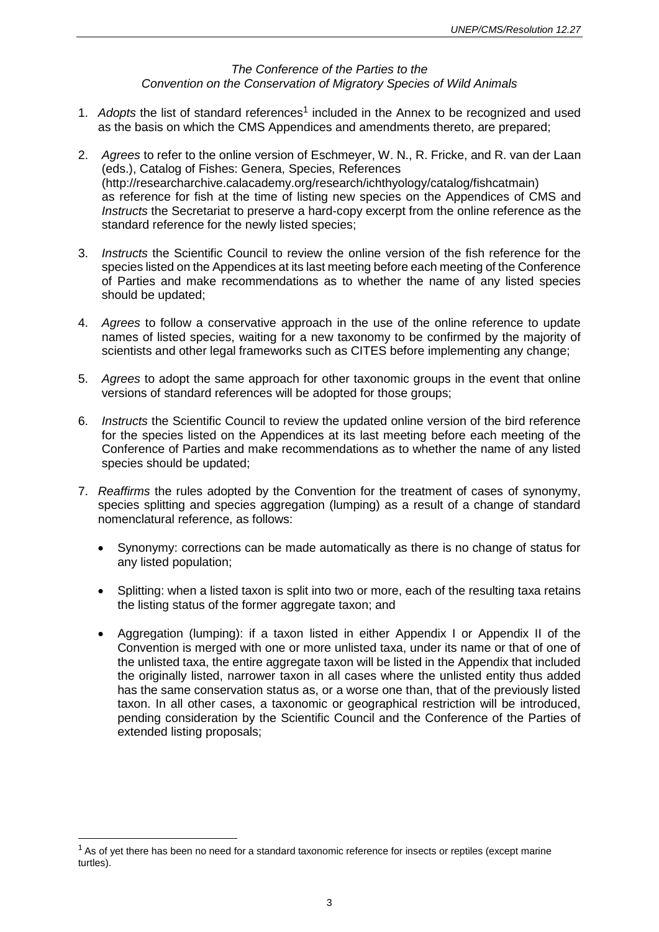# *The Conference of the Parties to the Convention on the Conservation of Migratory Species of Wild Animals*

- 1. Adopts the list of standard references<sup>1</sup> included in the Annex to be recognized and used as the basis on which the CMS Appendices and amendments thereto, are prepared;
- 2. *Agrees* to refer to the online version of Eschmeyer, W. N., R. Fricke, and R. van der Laan (eds.), Catalog of Fishes: Genera, Species, References [\(http://researcharchive.calacademy.org/research/ichthyology/catalog/fishcatmain\)](http://researcharchive.calacademy.org/research/ichthyology/catalog/fishcatmain) as reference for fish at the time of listing new species on the Appendices of CMS and *Instructs* the Secretariat to preserve a hard-copy excerpt from the online reference as the standard reference for the newly listed species;
- 3. *Instructs* the Scientific Council to review the online version of the fish reference for the species listed on the Appendices at its last meeting before each meeting of the Conference of Parties and make recommendations as to whether the name of any listed species should be updated;
- 4. *Agrees* to follow a conservative approach in the use of the online reference to update names of listed species, waiting for a new taxonomy to be confirmed by the majority of scientists and other legal frameworks such as CITES before implementing any change;
- 5. *Agrees* to adopt the same approach for other taxonomic groups in the event that online versions of standard references will be adopted for those groups;
- 6. *Instructs* the Scientific Council to review the updated online version of the bird reference for the species listed on the Appendices at its last meeting before each meeting of the Conference of Parties and make recommendations as to whether the name of any listed species should be updated;
- 7. *Reaffirms* the rules adopted by the Convention for the treatment of cases of synonymy, species splitting and species aggregation (lumping) as a result of a change of standard nomenclatural reference, as follows:
	- Synonymy: corrections can be made automatically as there is no change of status for any listed population;
	- Splitting: when a listed taxon is split into two or more, each of the resulting taxa retains the listing status of the former aggregate taxon; and
	- Aggregation (lumping): if a taxon listed in either Appendix I or Appendix II of the Convention is merged with one or more unlisted taxa, under its name or that of one of the unlisted taxa, the entire aggregate taxon will be listed in the Appendix that included the originally listed, narrower taxon in all cases where the unlisted entity thus added has the same conservation status as, or a worse one than, that of the previously listed taxon. In all other cases, a taxonomic or geographical restriction will be introduced, pending consideration by the Scientific Council and the Conference of the Parties of extended listing proposals;

 $\overline{a}$ 

 $1$  As of yet there has been no need for a standard taxonomic reference for insects or reptiles (except marine turtles).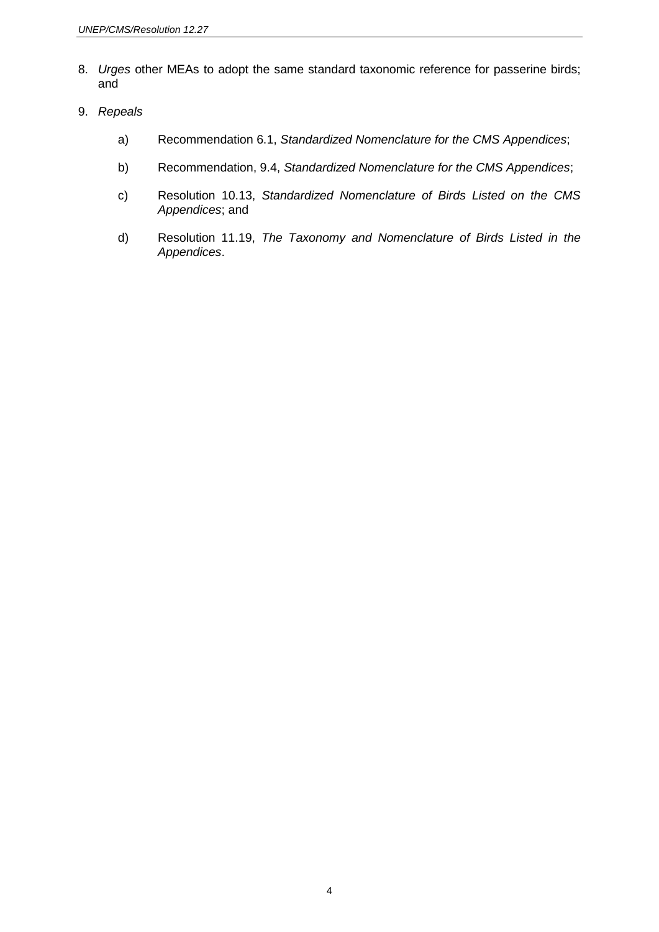- 8. *Urges* other MEAs to adopt the same standard taxonomic reference for passerine birds; and
- 9. *Repeals*
	- a) Recommendation 6.1, *Standardized Nomenclature for the CMS Appendices*;
	- b) Recommendation, 9.4, *Standardized Nomenclature for the CMS Appendices*;
	- c) Resolution 10.13, *Standardized Nomenclature of Birds Listed on the CMS Appendices*; and
	- d) Resolution 11.19, *The Taxonomy and Nomenclature of Birds Listed in the Appendices*.